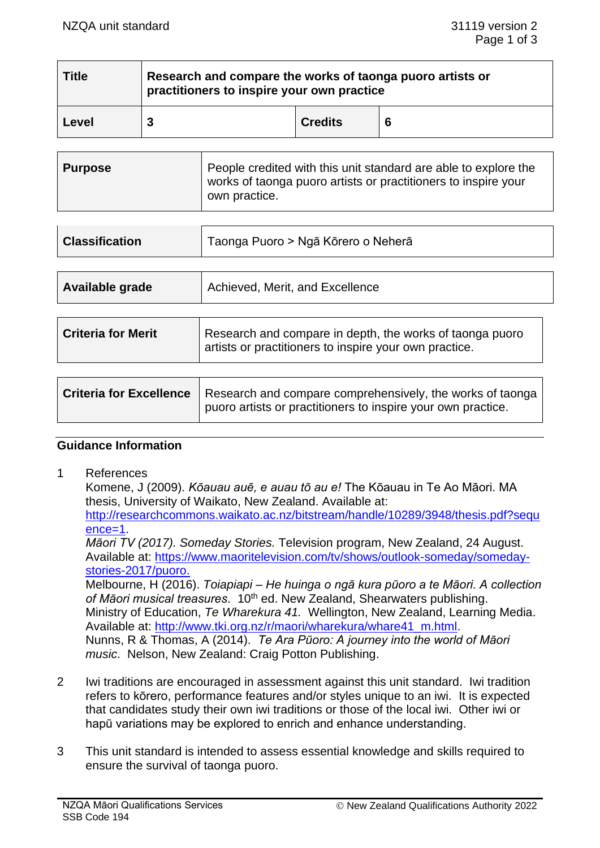| <b>Title</b> | Research and compare the works of taonga puoro artists or<br>practitioners to inspire your own practice |                |   |
|--------------|---------------------------------------------------------------------------------------------------------|----------------|---|
| Level        |                                                                                                         | <b>Credits</b> | 6 |

| <b>Purpose</b> | People credited with this unit standard are able to explore the<br>works of taonga puoro artists or practitioners to inspire your<br>own practice. |
|----------------|----------------------------------------------------------------------------------------------------------------------------------------------------|
|----------------|----------------------------------------------------------------------------------------------------------------------------------------------------|

| Taonga Puoro > Ngā Kōrero o Neherā<br><b>Classification</b> |                                                                                                                    |  |
|-------------------------------------------------------------|--------------------------------------------------------------------------------------------------------------------|--|
|                                                             |                                                                                                                    |  |
| Available grade                                             | Achieved, Merit, and Excellence                                                                                    |  |
|                                                             |                                                                                                                    |  |
| <b>Criteria for Merit</b>                                   | Research and compare in depth, the works of taonga puoro<br>artists or practitioners to inspire your own practice. |  |

| <b>Criteria for Excellence</b> | Research and compare comprehensively, the works of taonga    |  |
|--------------------------------|--------------------------------------------------------------|--|
|                                | puoro artists or practitioners to inspire your own practice. |  |

#### **Guidance Information**

1 References

Komene, J (2009). *Kōauau auē, e auau tō au e!* The Kōauau in Te Ao Māori. MA thesis, University of Waikato, New Zealand. Available at: [http://researchcommons.waikato.ac.nz/bitstream/handle/10289/3948/thesis.pdf?sequ](http://researchcommons.waikato.ac.nz/bitstream/handle/10289/3948/thesis.pdf?sequence=1) [ence=1.](http://researchcommons.waikato.ac.nz/bitstream/handle/10289/3948/thesis.pdf?sequence=1) *Māori TV (2017). Someday Stories.* Television program, New Zealand, 24 August. Available at: [https://www.maoritelevision.com/tv/shows/outlook-someday/someday](https://www.maoritelevision.com/tv/shows/outlook-someday/someday-stories-2017/puoro)[stories-2017/puoro.](https://www.maoritelevision.com/tv/shows/outlook-someday/someday-stories-2017/puoro) Melbourne, H (2016). *Toiapiapi – He huinga o ngā kura pūoro a te Māori. A collection*  of Māori musical treasures. 10<sup>th</sup> ed. New Zealand, Shearwaters publishing. Ministry of Education, *Te Wharekura 41.* Wellington, New Zealand, Learning Media. Available at: [http://www.tki.org.nz/r/maori/wharekura/whare41\\_m.html.](http://www.tki.org.nz/r/maori/wharekura/whare41_m.html) Nunns, R & Thomas, A (2014). *Te Ara Pūoro: A journey into the world of Māori music*. Nelson, New Zealand: Craig Potton Publishing.

- 2 Iwi traditions are encouraged in assessment against this unit standard. Iwi tradition refers to kōrero, performance features and/or styles unique to an iwi. It is expected that candidates study their own iwi traditions or those of the local iwi. Other iwi or hapū variations may be explored to enrich and enhance understanding.
- 3 This unit standard is intended to assess essential knowledge and skills required to ensure the survival of taonga puoro.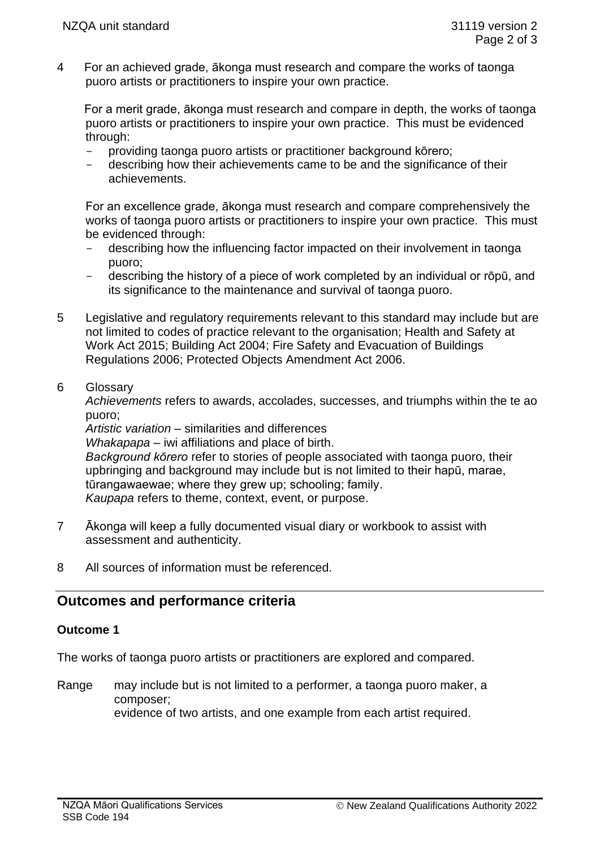4 For an achieved grade, ākonga must research and compare the works of taonga puoro artists or practitioners to inspire your own practice.

For a merit grade, ākonga must research and compare in depth, the works of taonga puoro artists or practitioners to inspire your own practice. This must be evidenced through:

- providing taonga puoro artists or practitioner background kōrero;
- describing how their achievements came to be and the significance of their achievements.

For an excellence grade, ākonga must research and compare comprehensively the works of taonga puoro artists or practitioners to inspire your own practice. This must be evidenced through:

- describing how the influencing factor impacted on their involvement in taonga puoro;
- describing the history of a piece of work completed by an individual or rōpū, and its significance to the maintenance and survival of taonga puoro.
- 5 Legislative and regulatory requirements relevant to this standard may include but are not limited to codes of practice relevant to the organisation; Health and Safety at Work Act 2015; Building Act 2004; Fire Safety and Evacuation of Buildings Regulations 2006; Protected Objects Amendment Act 2006.
- 6 Glossary

*Achievements* refers to awards, accolades, successes, and triumphs within the te ao puoro;

*Artistic variation* – similarities and differences

*Whakapapa* – iwi affiliations and place of birth.

*Background kōrero* refer to stories of people associated with taonga puoro, their upbringing and background may include but is not limited to their hapū, marae, tūrangawaewae; where they grew up; schooling; family. *Kaupapa* refers to theme, context, event, or purpose.

- 7 Ākonga will keep a fully documented visual diary or workbook to assist with assessment and authenticity.
- 8 All sources of information must be referenced.

# **Outcomes and performance criteria**

## **Outcome 1**

The works of taonga puoro artists or practitioners are explored and compared.

Range may include but is not limited to a performer, a taonga puoro maker, a composer; evidence of two artists, and one example from each artist required.